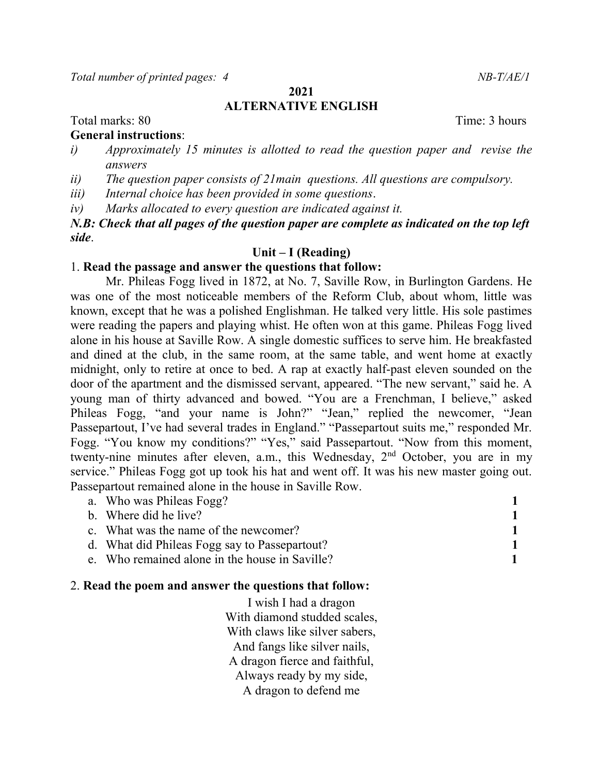Total number of printed pages: 4 NB-T/AE/1

2021

# ALTERNATIVE ENGLISH

Total marks: 80 Total marks: 80

# General instructions:

- i) Approximately 15 minutes is allotted to read the question paper and revise the answers
- ii) The question paper consists of 21main questions. All questions are compulsory.
- iii) Internal choice has been provided in some questions.

iv) Marks allocated to every question are indicated against it.

N.B: Check that all pages of the question paper are complete as indicated on the top left side.

## Unit – I (Reading)

# 1. Read the passage and answer the questions that follow:

Mr. Phileas Fogg lived in 1872, at No. 7, Saville Row, in Burlington Gardens. He was one of the most noticeable members of the Reform Club, about whom, little was known, except that he was a polished Englishman. He talked very little. His sole pastimes were reading the papers and playing whist. He often won at this game. Phileas Fogg lived alone in his house at Saville Row. A single domestic suffices to serve him. He breakfasted and dined at the club, in the same room, at the same table, and went home at exactly midnight, only to retire at once to bed. A rap at exactly half-past eleven sounded on the door of the apartment and the dismissed servant, appeared. "The new servant," said he. A young man of thirty advanced and bowed. "You are a Frenchman, I believe," asked Phileas Fogg, "and your name is John?" "Jean," replied the newcomer, "Jean Passepartout, I've had several trades in England." "Passepartout suits me," responded Mr. Fogg. "You know my conditions?" "Yes," said Passepartout. "Now from this moment, twenty-nine minutes after eleven, a.m., this Wednesday, 2<sup>nd</sup> October, you are in my service." Phileas Fogg got up took his hat and went off. It was his new master going out. Passepartout remained alone in the house in Saville Row.

| a. Who was Phileas Fogg?                       |  |
|------------------------------------------------|--|
| b. Where did he live?                          |  |
| c. What was the name of the newcomer?          |  |
| d. What did Phileas Fogg say to Passepartout?  |  |
| e. Who remained alone in the house in Saville? |  |

# 2. Read the poem and answer the questions that follow:

I wish I had a dragon With diamond studded scales, With claws like silver sabers, And fangs like silver nails, A dragon fierce and faithful, Always ready by my side, A dragon to defend me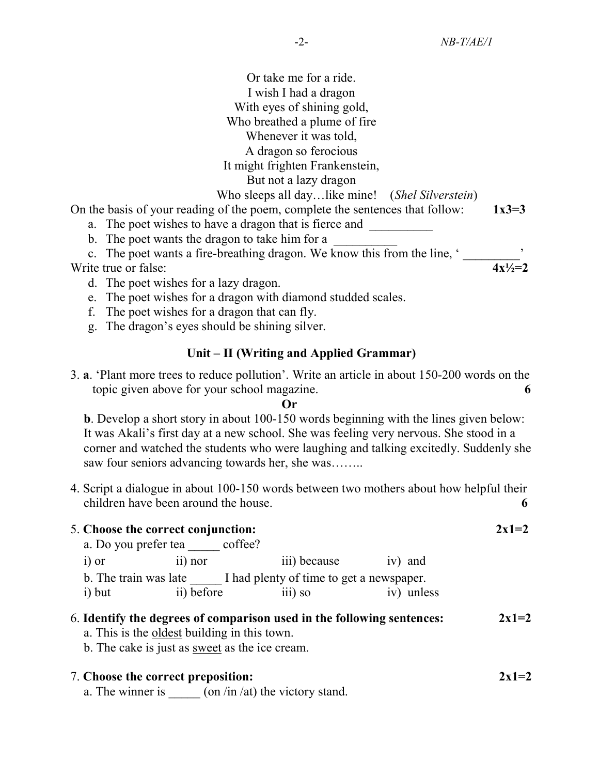| Or take me for a ride.                                                        |              |
|-------------------------------------------------------------------------------|--------------|
| I wish I had a dragon                                                         |              |
| With eyes of shining gold,                                                    |              |
| Who breathed a plume of fire                                                  |              |
| Whenever it was told,                                                         |              |
| A dragon so ferocious                                                         |              |
| It might frighten Frankenstein,                                               |              |
| But not a lazy dragon                                                         |              |
| Who sleeps all daylike mine! (Shel Silverstein)                               |              |
| On the basis of your reading of the poem, complete the sentences that follow: | $1x3=3$      |
| a. The poet wishes to have a dragon that is fierce and                        |              |
| b. The poet wants the dragon to take him for a                                |              |
| c. The poet wants a fire-breathing dragon. We know this from the line, '      |              |
| Write true or false:                                                          | $4x^{1/2}=2$ |
| d. The poet wishes for a lazy dragon.                                         |              |
| e. The poet wishes for a dragon with diamond studded scales.                  |              |
| The poet wishes for a dragon that can fly.<br>f.                              |              |

g. The dragon's eyes should be shining silver.

# Unit – II (Writing and Applied Grammar)

3. a. 'Plant more trees to reduce pollution'. Write an article in about 150-200 words on the topic given above for your school magazine. 6

#### Or

b. Develop a short story in about 100-150 words beginning with the lines given below: It was Akali's first day at a new school. She was feeling very nervous. She stood in a corner and watched the students who were laughing and talking excitedly. Suddenly she saw four seniors advancing towards her, she was……..

4. Script a dialogue in about 100-150 words between two mothers about how helpful their children have been around the house.

| 5. Choose the correct conjunction: |                       |                                          |            |  |  |
|------------------------------------|-----------------------|------------------------------------------|------------|--|--|
| a. Do you prefer tea               | coffee?               |                                          |            |  |  |
| $i)$ or                            | $\overline{11}$ ) nor | iii) because                             | iv) and    |  |  |
| b. The train was late              |                       | I had plenty of time to get a newspaper. |            |  |  |
| i) but                             | ii) before            | $\overline{111}$ so                      | iv) unless |  |  |
|                                    |                       |                                          |            |  |  |

## 6. Identify the degrees of comparison used in the following sentences:  $2x1=2$

a. This is the oldest building in this town.

b. The cake is just as sweet as the ice cream.

# 7. Choose the correct preposition:  $2x1=2$

a. The winner is  $\frac{1}{\sqrt{2\pi}}$  (on /in /at) the victory stand.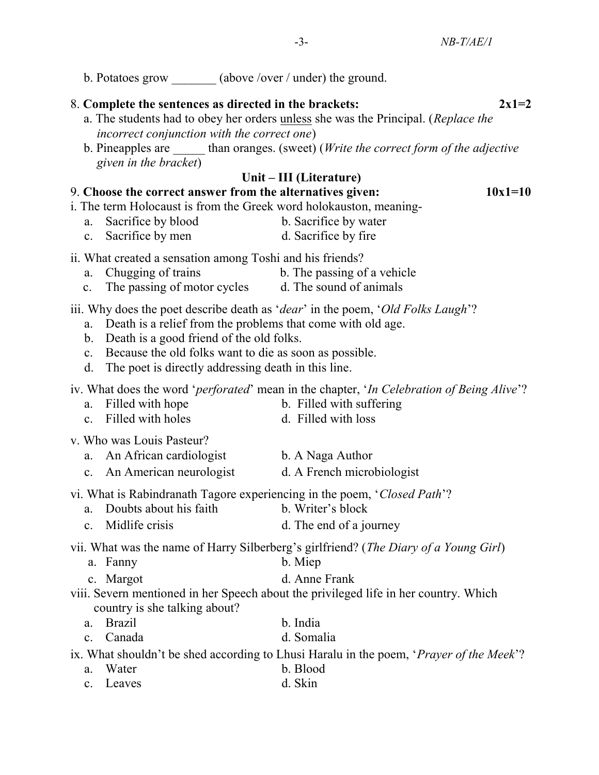| b. Potatoes grow _______ (above /over / under) the ground.                                                                                                                                                                              |                                                                                                                                                                                         |
|-----------------------------------------------------------------------------------------------------------------------------------------------------------------------------------------------------------------------------------------|-----------------------------------------------------------------------------------------------------------------------------------------------------------------------------------------|
| 8. Complete the sentences as directed in the brackets:<br>incorrect conjunction with the correct one)<br>given in the bracket)                                                                                                          | $2x1=2$<br>a. The students had to obey her orders unless she was the Principal. (Replace the<br>b. Pineapples are ______ than oranges. (sweet) (Write the correct form of the adjective |
|                                                                                                                                                                                                                                         | Unit – III (Literature)                                                                                                                                                                 |
| 9. Choose the correct answer from the alternatives given:<br>i. The term Holocaust is from the Greek word holokauston, meaning-<br>Sacrifice by blood<br>a.<br>c. Sacrifice by men                                                      | $10x1=10$<br>b. Sacrifice by water<br>d. Sacrifice by fire                                                                                                                              |
| ii. What created a sensation among Toshi and his friends?<br>Chugging of trains<br>a.<br>c. The passing of motor cycles d. The sound of animals                                                                                         | b. The passing of a vehicle                                                                                                                                                             |
| Death is a relief from the problems that come with old age.<br>a.<br>b. Death is a good friend of the old folks.<br>c. Because the old folks want to die as soon as possible.<br>d. The poet is directly addressing death in this line. | iii. Why does the poet describe death as ' <i>dear</i> ' in the poem, ' <i>Old Folks Laugh</i> '?                                                                                       |
| Filled with hope<br>a.<br>Filled with holes<br>c.                                                                                                                                                                                       | iv. What does the word ' <i>perforated</i> ' mean in the chapter, ' <i>In Celebration of Being Alive</i> '?<br>b. Filled with suffering<br>d. Filled with loss                          |
| v. Who was Louis Pasteur?<br>a. An African cardiologist<br>c. An American neurologist                                                                                                                                                   | b. A Naga Author<br>d. A French microbiologist                                                                                                                                          |

- vi. What is Rabindranath Tagore experiencing in the poem, 'Closed Path'?
	- a. Doubts about his faith b. Writer's block
	- c. Midlife crisis d. The end of a journey

vii. What was the name of Harry Silberberg's girlfriend? (The Diary of a Young Girl)

- a. Fanny b. Miep
- c. Margot d. Anne Frank

viii. Severn mentioned in her Speech about the privileged life in her country. Which country is she talking about?

- a. Brazil b. India
- c. Canada d. Somalia

ix. What shouldn't be shed according to Lhusi Haralu in the poem, 'Prayer of the Meek'?

- a. Water b. Blood
- c. Leaves d. Skin